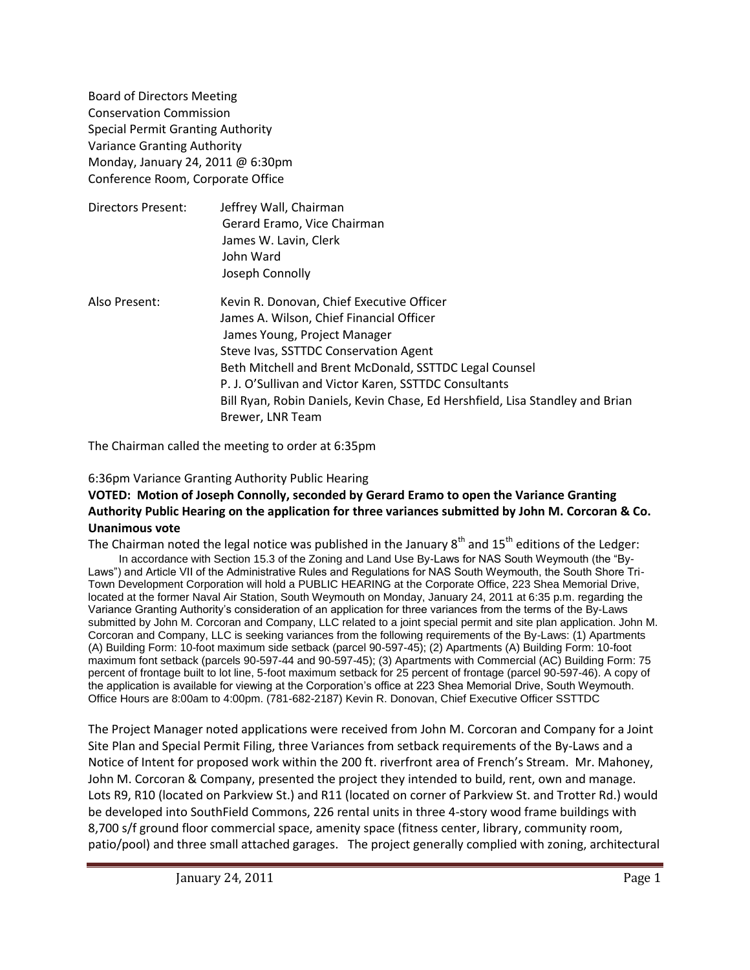Board of Directors Meeting Conservation Commission Special Permit Granting Authority Variance Granting Authority Monday, January 24, 2011 @ 6:30pm Conference Room, Corporate Office

| Directors Present: | Jeffrey Wall, Chairman<br>Gerard Eramo, Vice Chairman<br>James W. Lavin, Clerk<br>John Ward<br>Joseph Connolly |
|--------------------|----------------------------------------------------------------------------------------------------------------|
| Also Present:      | Kevin R. Donovan, Chief Executive Officer<br>Iames A. Wilson, Chief Einancial Officer                          |

s A. Wilson, Chief Financial Offic James Young, Project Manager Steve Ivas, SSTTDC Conservation Agent Beth Mitchell and Brent McDonald, SSTTDC Legal Counsel P. J. O'Sullivan and Victor Karen, SSTTDC Consultants Bill Ryan, Robin Daniels, Kevin Chase, Ed Hershfield, Lisa Standley and Brian Brewer, LNR Team

The Chairman called the meeting to order at 6:35pm

## 6:36pm Variance Granting Authority Public Hearing

## **VOTED: Motion of Joseph Connolly, seconded by Gerard Eramo to open the Variance Granting Authority Public Hearing on the application for three variances submitted by John M. Corcoran & Co. Unanimous vote**

The Chairman noted the legal notice was published in the January  $8<sup>th</sup>$  and  $15<sup>th</sup>$  editions of the Ledger: In accordance with Section 15.3 of the Zoning and Land Use By-Laws for NAS South Weymouth (the "By-Laws") and Article VII of the Administrative Rules and Regulations for NAS South Weymouth, the South Shore Tri-Town Development Corporation will hold a PUBLIC HEARING at the Corporate Office, 223 Shea Memorial Drive, located at the former Naval Air Station, South Weymouth on Monday, January 24, 2011 at 6:35 p.m. regarding the Variance Granting Authority's consideration of an application for three variances from the terms of the By-Laws submitted by John M. Corcoran and Company, LLC related to a joint special permit and site plan application. John M.

Corcoran and Company, LLC is seeking variances from the following requirements of the By-Laws: (1) Apartments (A) Building Form: 10-foot maximum side setback (parcel 90-597-45); (2) Apartments (A) Building Form: 10-foot maximum font setback (parcels 90-597-44 and 90-597-45); (3) Apartments with Commercial (AC) Building Form: 75 percent of frontage built to lot line, 5-foot maximum setback for 25 percent of frontage (parcel 90-597-46). A copy of the application is available for viewing at the Corporation's office at 223 Shea Memorial Drive, South Weymouth. Office Hours are 8:00am to 4:00pm. (781-682-2187) Kevin R. Donovan, Chief Executive Officer SSTTDC

The Project Manager noted applications were received from John M. Corcoran and Company for a Joint Site Plan and Special Permit Filing, three Variances from setback requirements of the By-Laws and a Notice of Intent for proposed work within the 200 ft. riverfront area of French's Stream. Mr. Mahoney, John M. Corcoran & Company, presented the project they intended to build, rent, own and manage. Lots R9, R10 (located on Parkview St.) and R11 (located on corner of Parkview St. and Trotter Rd.) would be developed into SouthField Commons, 226 rental units in three 4-story wood frame buildings with 8,700 s/f ground floor commercial space, amenity space (fitness center, library, community room, patio/pool) and three small attached garages. The project generally complied with zoning, architectural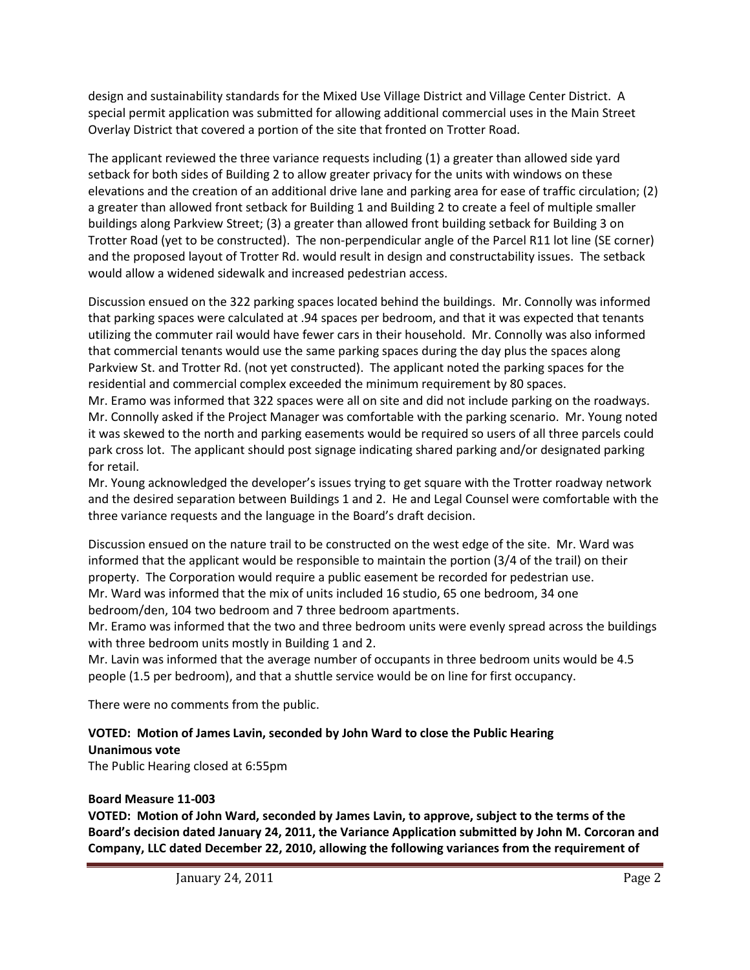design and sustainability standards for the Mixed Use Village District and Village Center District. A special permit application was submitted for allowing additional commercial uses in the Main Street Overlay District that covered a portion of the site that fronted on Trotter Road.

The applicant reviewed the three variance requests including (1) a greater than allowed side yard setback for both sides of Building 2 to allow greater privacy for the units with windows on these elevations and the creation of an additional drive lane and parking area for ease of traffic circulation; (2) a greater than allowed front setback for Building 1 and Building 2 to create a feel of multiple smaller buildings along Parkview Street; (3) a greater than allowed front building setback for Building 3 on Trotter Road (yet to be constructed). The non-perpendicular angle of the Parcel R11 lot line (SE corner) and the proposed layout of Trotter Rd. would result in design and constructability issues. The setback would allow a widened sidewalk and increased pedestrian access.

Discussion ensued on the 322 parking spaces located behind the buildings. Mr. Connolly was informed that parking spaces were calculated at .94 spaces per bedroom, and that it was expected that tenants utilizing the commuter rail would have fewer cars in their household. Mr. Connolly was also informed that commercial tenants would use the same parking spaces during the day plus the spaces along Parkview St. and Trotter Rd. (not yet constructed). The applicant noted the parking spaces for the residential and commercial complex exceeded the minimum requirement by 80 spaces.

Mr. Eramo was informed that 322 spaces were all on site and did not include parking on the roadways. Mr. Connolly asked if the Project Manager was comfortable with the parking scenario. Mr. Young noted it was skewed to the north and parking easements would be required so users of all three parcels could park cross lot. The applicant should post signage indicating shared parking and/or designated parking for retail.

Mr. Young acknowledged the developer's issues trying to get square with the Trotter roadway network and the desired separation between Buildings 1 and 2. He and Legal Counsel were comfortable with the three variance requests and the language in the Board's draft decision.

Discussion ensued on the nature trail to be constructed on the west edge of the site. Mr. Ward was informed that the applicant would be responsible to maintain the portion (3/4 of the trail) on their property. The Corporation would require a public easement be recorded for pedestrian use. Mr. Ward was informed that the mix of units included 16 studio, 65 one bedroom, 34 one bedroom/den, 104 two bedroom and 7 three bedroom apartments.

Mr. Eramo was informed that the two and three bedroom units were evenly spread across the buildings with three bedroom units mostly in Building 1 and 2.

Mr. Lavin was informed that the average number of occupants in three bedroom units would be 4.5 people (1.5 per bedroom), and that a shuttle service would be on line for first occupancy.

There were no comments from the public.

# **VOTED: Motion of James Lavin, seconded by John Ward to close the Public Hearing Unanimous vote**

The Public Hearing closed at 6:55pm

# **Board Measure 11-003**

**VOTED: Motion of John Ward, seconded by James Lavin, to approve, subject to the terms of the Board's decision dated January 24, 2011, the Variance Application submitted by John M. Corcoran and Company, LLC dated December 22, 2010, allowing the following variances from the requirement of**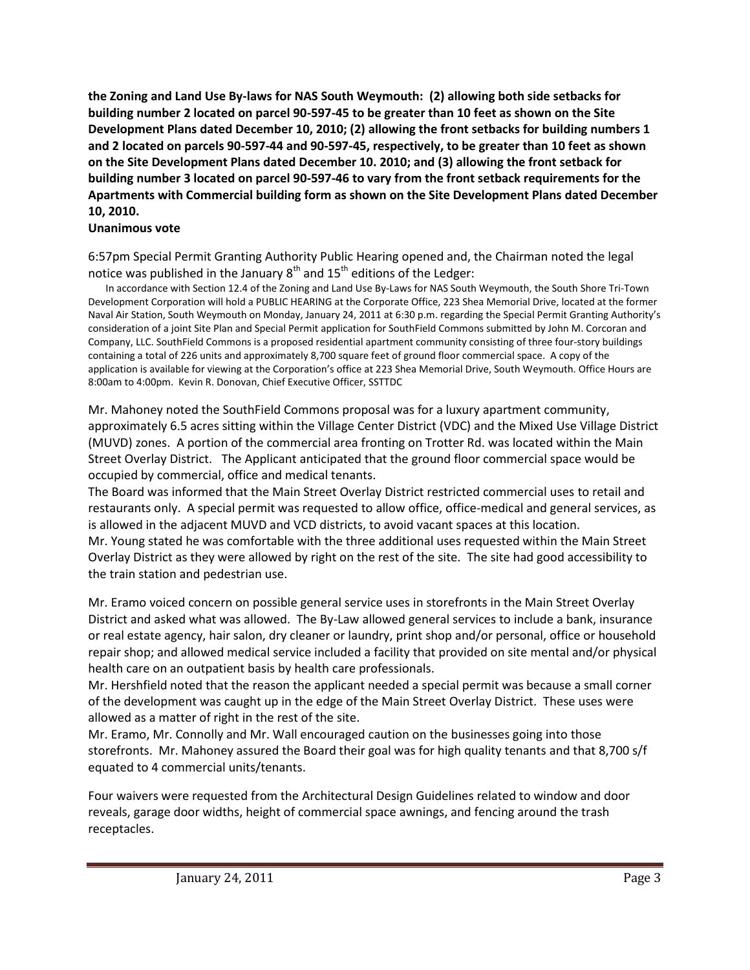**the Zoning and Land Use By-laws for NAS South Weymouth: (2) allowing both side setbacks for building number 2 located on parcel 90-597-45 to be greater than 10 feet as shown on the Site Development Plans dated December 10, 2010; (2) allowing the front setbacks for building numbers 1 and 2 located on parcels 90-597-44 and 90-597-45, respectively, to be greater than 10 feet as shown on the Site Development Plans dated December 10. 2010; and (3) allowing the front setback for building number 3 located on parcel 90-597-46 to vary from the front setback requirements for the Apartments with Commercial building form as shown on the Site Development Plans dated December 10, 2010.**

### **Unanimous vote**

6:57pm Special Permit Granting Authority Public Hearing opened and, the Chairman noted the legal notice was published in the January  $8<sup>th</sup>$  and  $15<sup>th</sup>$  editions of the Ledger:

 In accordance with Section 12.4 of the Zoning and Land Use By-Laws for NAS South Weymouth, the South Shore Tri-Town Development Corporation will hold a PUBLIC HEARING at the Corporate Office, 223 Shea Memorial Drive, located at the former Naval Air Station, South Weymouth on Monday, January 24, 2011 at 6:30 p.m. regarding the Special Permit Granting Authority's consideration of a joint Site Plan and Special Permit application for SouthField Commons submitted by John M. Corcoran and Company, LLC. SouthField Commons is a proposed residential apartment community consisting of three four-story buildings containing a total of 226 units and approximately 8,700 square feet of ground floor commercial space. A copy of the application is available for viewing at the Corporation's office at 223 Shea Memorial Drive, South Weymouth. Office Hours are 8:00am to 4:00pm. Kevin R. Donovan, Chief Executive Officer, SSTTDC

Mr. Mahoney noted the SouthField Commons proposal was for a luxury apartment community, approximately 6.5 acres sitting within the Village Center District (VDC) and the Mixed Use Village District (MUVD) zones. A portion of the commercial area fronting on Trotter Rd. was located within the Main Street Overlay District. The Applicant anticipated that the ground floor commercial space would be occupied by commercial, office and medical tenants.

The Board was informed that the Main Street Overlay District restricted commercial uses to retail and restaurants only. A special permit was requested to allow office, office-medical and general services, as is allowed in the adjacent MUVD and VCD districts, to avoid vacant spaces at this location. Mr. Young stated he was comfortable with the three additional uses requested within the Main Street

Overlay District as they were allowed by right on the rest of the site. The site had good accessibility to the train station and pedestrian use.

Mr. Eramo voiced concern on possible general service uses in storefronts in the Main Street Overlay District and asked what was allowed. The By-Law allowed general services to include a bank, insurance or real estate agency, hair salon, dry cleaner or laundry, print shop and/or personal, office or household repair shop; and allowed medical service included a facility that provided on site mental and/or physical health care on an outpatient basis by health care professionals.

Mr. Hershfield noted that the reason the applicant needed a special permit was because a small corner of the development was caught up in the edge of the Main Street Overlay District. These uses were allowed as a matter of right in the rest of the site.

Mr. Eramo, Mr. Connolly and Mr. Wall encouraged caution on the businesses going into those storefronts. Mr. Mahoney assured the Board their goal was for high quality tenants and that 8,700 s/f equated to 4 commercial units/tenants.

Four waivers were requested from the Architectural Design Guidelines related to window and door reveals, garage door widths, height of commercial space awnings, and fencing around the trash receptacles.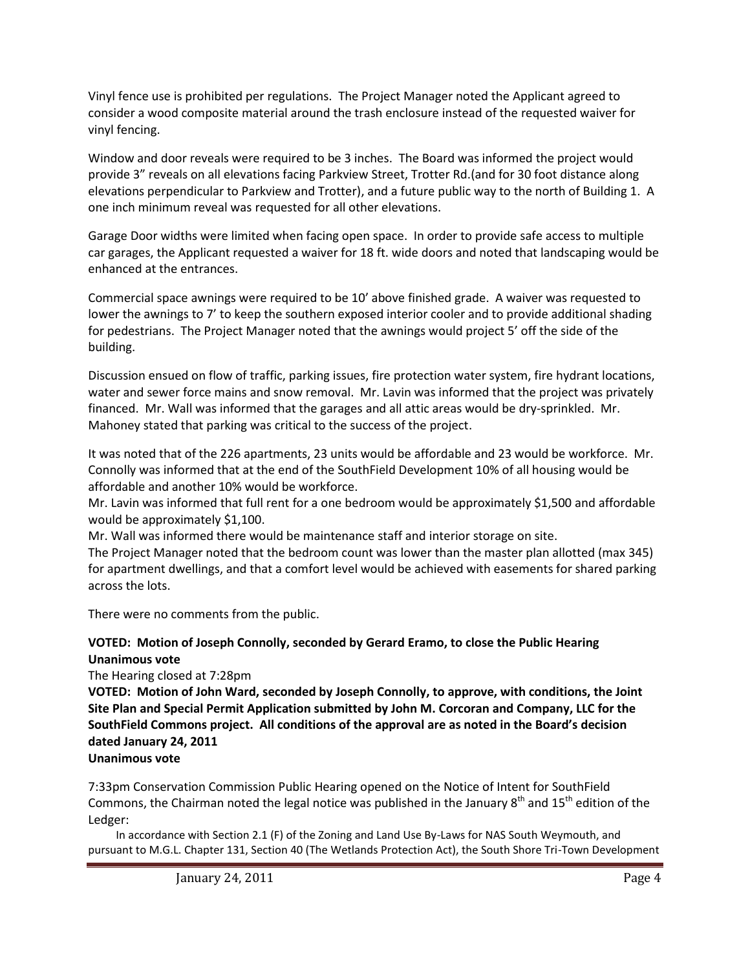Vinyl fence use is prohibited per regulations. The Project Manager noted the Applicant agreed to consider a wood composite material around the trash enclosure instead of the requested waiver for vinyl fencing.

Window and door reveals were required to be 3 inches. The Board was informed the project would provide 3" reveals on all elevations facing Parkview Street, Trotter Rd.(and for 30 foot distance along elevations perpendicular to Parkview and Trotter), and a future public way to the north of Building 1. A one inch minimum reveal was requested for all other elevations.

Garage Door widths were limited when facing open space. In order to provide safe access to multiple car garages, the Applicant requested a waiver for 18 ft. wide doors and noted that landscaping would be enhanced at the entrances.

Commercial space awnings were required to be 10' above finished grade. A waiver was requested to lower the awnings to 7' to keep the southern exposed interior cooler and to provide additional shading for pedestrians. The Project Manager noted that the awnings would project 5' off the side of the building.

Discussion ensued on flow of traffic, parking issues, fire protection water system, fire hydrant locations, water and sewer force mains and snow removal. Mr. Lavin was informed that the project was privately financed. Mr. Wall was informed that the garages and all attic areas would be dry-sprinkled. Mr. Mahoney stated that parking was critical to the success of the project.

It was noted that of the 226 apartments, 23 units would be affordable and 23 would be workforce. Mr. Connolly was informed that at the end of the SouthField Development 10% of all housing would be affordable and another 10% would be workforce.

Mr. Lavin was informed that full rent for a one bedroom would be approximately \$1,500 and affordable would be approximately \$1,100.

Mr. Wall was informed there would be maintenance staff and interior storage on site.

The Project Manager noted that the bedroom count was lower than the master plan allotted (max 345) for apartment dwellings, and that a comfort level would be achieved with easements for shared parking across the lots.

There were no comments from the public.

# **VOTED: Motion of Joseph Connolly, seconded by Gerard Eramo, to close the Public Hearing Unanimous vote**

The Hearing closed at 7:28pm

**VOTED: Motion of John Ward, seconded by Joseph Connolly, to approve, with conditions, the Joint Site Plan and Special Permit Application submitted by John M. Corcoran and Company, LLC for the SouthField Commons project. All conditions of the approval are as noted in the Board's decision dated January 24, 2011**

# **Unanimous vote**

7:33pm Conservation Commission Public Hearing opened on the Notice of Intent for SouthField Commons, the Chairman noted the legal notice was published in the January  $8<sup>th</sup>$  and  $15<sup>th</sup>$  edition of the Ledger:

 In accordance with Section 2.1 (F) of the Zoning and Land Use By-Laws for NAS South Weymouth, and pursuant to M.G.L. Chapter 131, Section 40 (The Wetlands Protection Act), the South Shore Tri-Town Development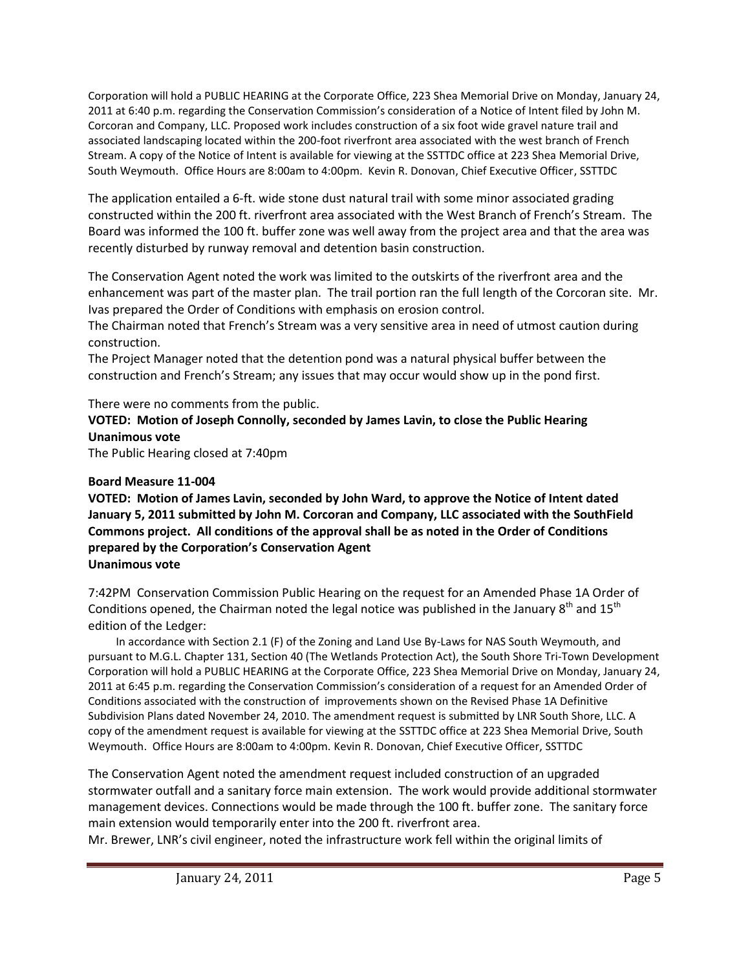Corporation will hold a PUBLIC HEARING at the Corporate Office, 223 Shea Memorial Drive on Monday, January 24, 2011 at 6:40 p.m. regarding the Conservation Commission's consideration of a Notice of Intent filed by John M. Corcoran and Company, LLC. Proposed work includes construction of a six foot wide gravel nature trail and associated landscaping located within the 200-foot riverfront area associated with the west branch of French Stream. A copy of the Notice of Intent is available for viewing at the SSTTDC office at 223 Shea Memorial Drive, South Weymouth. Office Hours are 8:00am to 4:00pm. Kevin R. Donovan, Chief Executive Officer, SSTTDC

The application entailed a 6-ft. wide stone dust natural trail with some minor associated grading constructed within the 200 ft. riverfront area associated with the West Branch of French's Stream. The Board was informed the 100 ft. buffer zone was well away from the project area and that the area was recently disturbed by runway removal and detention basin construction.

The Conservation Agent noted the work was limited to the outskirts of the riverfront area and the enhancement was part of the master plan. The trail portion ran the full length of the Corcoran site. Mr. Ivas prepared the Order of Conditions with emphasis on erosion control.

The Chairman noted that French's Stream was a very sensitive area in need of utmost caution during construction.

The Project Manager noted that the detention pond was a natural physical buffer between the construction and French's Stream; any issues that may occur would show up in the pond first.

There were no comments from the public.

## **VOTED: Motion of Joseph Connolly, seconded by James Lavin, to close the Public Hearing Unanimous vote**

The Public Hearing closed at 7:40pm

## **Board Measure 11-004**

**VOTED: Motion of James Lavin, seconded by John Ward, to approve the Notice of Intent dated January 5, 2011 submitted by John M. Corcoran and Company, LLC associated with the SouthField Commons project. All conditions of the approval shall be as noted in the Order of Conditions prepared by the Corporation's Conservation Agent Unanimous vote**

7:42PM Conservation Commission Public Hearing on the request for an Amended Phase 1A Order of Conditions opened, the Chairman noted the legal notice was published in the January  $8<sup>th</sup>$  and  $15<sup>th</sup>$ edition of the Ledger:

 In accordance with Section 2.1 (F) of the Zoning and Land Use By-Laws for NAS South Weymouth, and pursuant to M.G.L. Chapter 131, Section 40 (The Wetlands Protection Act), the South Shore Tri-Town Development Corporation will hold a PUBLIC HEARING at the Corporate Office, 223 Shea Memorial Drive on Monday, January 24, 2011 at 6:45 p.m. regarding the Conservation Commission's consideration of a request for an Amended Order of Conditions associated with the construction of improvements shown on the Revised Phase 1A Definitive Subdivision Plans dated November 24, 2010. The amendment request is submitted by LNR South Shore, LLC. A copy of the amendment request is available for viewing at the SSTTDC office at 223 Shea Memorial Drive, South Weymouth. Office Hours are 8:00am to 4:00pm. Kevin R. Donovan, Chief Executive Officer, SSTTDC

The Conservation Agent noted the amendment request included construction of an upgraded stormwater outfall and a sanitary force main extension. The work would provide additional stormwater management devices. Connections would be made through the 100 ft. buffer zone. The sanitary force main extension would temporarily enter into the 200 ft. riverfront area.

Mr. Brewer, LNR's civil engineer, noted the infrastructure work fell within the original limits of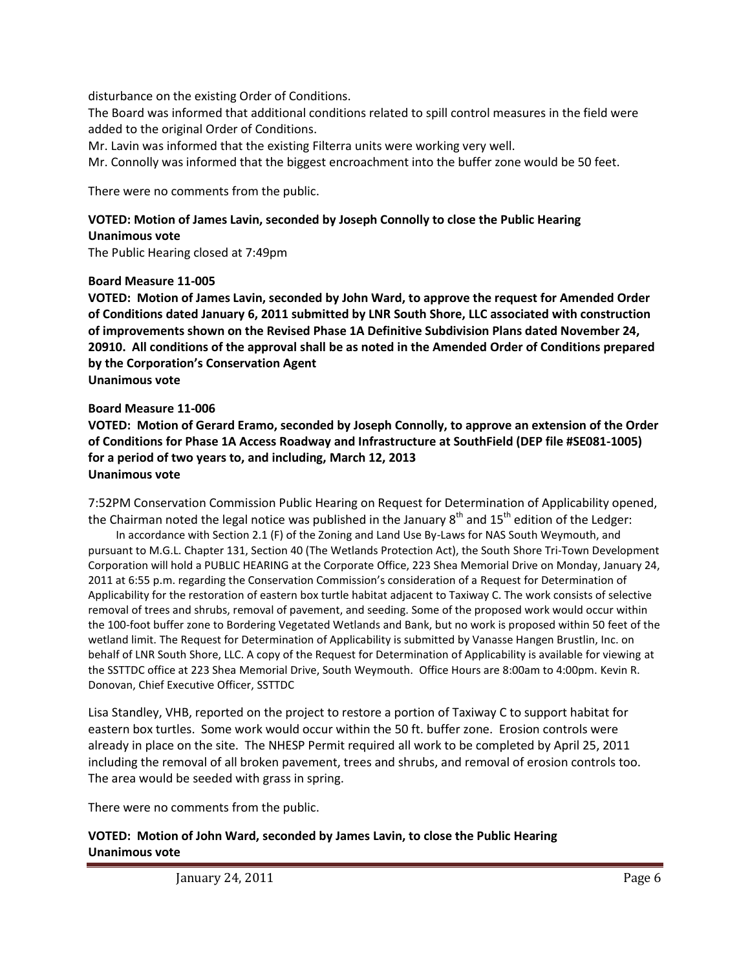disturbance on the existing Order of Conditions.

The Board was informed that additional conditions related to spill control measures in the field were added to the original Order of Conditions.

Mr. Lavin was informed that the existing Filterra units were working very well.

Mr. Connolly was informed that the biggest encroachment into the buffer zone would be 50 feet.

There were no comments from the public.

### **VOTED: Motion of James Lavin, seconded by Joseph Connolly to close the Public Hearing Unanimous vote**

The Public Hearing closed at 7:49pm

### **Board Measure 11-005**

**VOTED: Motion of James Lavin, seconded by John Ward, to approve the request for Amended Order of Conditions dated January 6, 2011 submitted by LNR South Shore, LLC associated with construction of improvements shown on the Revised Phase 1A Definitive Subdivision Plans dated November 24, 20910. All conditions of the approval shall be as noted in the Amended Order of Conditions prepared by the Corporation's Conservation Agent Unanimous vote**

#### **Board Measure 11-006**

**VOTED: Motion of Gerard Eramo, seconded by Joseph Connolly, to approve an extension of the Order of Conditions for Phase 1A Access Roadway and Infrastructure at SouthField (DEP file #SE081-1005) for a period of two years to, and including, March 12, 2013 Unanimous vote**

7:52PM Conservation Commission Public Hearing on Request for Determination of Applicability opened, the Chairman noted the legal notice was published in the January  $8<sup>th</sup>$  and  $15<sup>th</sup>$  edition of the Ledger:

 In accordance with Section 2.1 (F) of the Zoning and Land Use By-Laws for NAS South Weymouth, and pursuant to M.G.L. Chapter 131, Section 40 (The Wetlands Protection Act), the South Shore Tri-Town Development Corporation will hold a PUBLIC HEARING at the Corporate Office, 223 Shea Memorial Drive on Monday, January 24, 2011 at 6:55 p.m. regarding the Conservation Commission's consideration of a Request for Determination of Applicability for the restoration of eastern box turtle habitat adjacent to Taxiway C. The work consists of selective removal of trees and shrubs, removal of pavement, and seeding. Some of the proposed work would occur within the 100-foot buffer zone to Bordering Vegetated Wetlands and Bank, but no work is proposed within 50 feet of the wetland limit. The Request for Determination of Applicability is submitted by Vanasse Hangen Brustlin, Inc. on behalf of LNR South Shore, LLC. A copy of the Request for Determination of Applicability is available for viewing at the SSTTDC office at 223 Shea Memorial Drive, South Weymouth. Office Hours are 8:00am to 4:00pm. Kevin R. Donovan, Chief Executive Officer, SSTTDC

Lisa Standley, VHB, reported on the project to restore a portion of Taxiway C to support habitat for eastern box turtles. Some work would occur within the 50 ft. buffer zone. Erosion controls were already in place on the site. The NHESP Permit required all work to be completed by April 25, 2011 including the removal of all broken pavement, trees and shrubs, and removal of erosion controls too. The area would be seeded with grass in spring.

There were no comments from the public.

### **VOTED: Motion of John Ward, seconded by James Lavin, to close the Public Hearing Unanimous vote**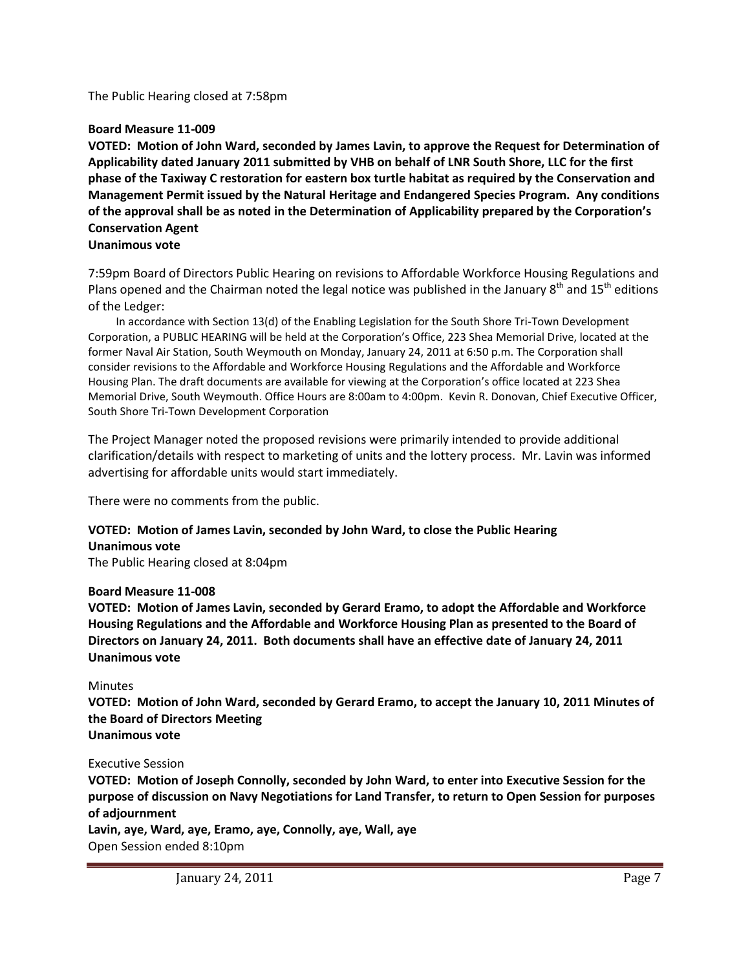The Public Hearing closed at 7:58pm

### **Board Measure 11-009**

**VOTED: Motion of John Ward, seconded by James Lavin, to approve the Request for Determination of Applicability dated January 2011 submitted by VHB on behalf of LNR South Shore, LLC for the first phase of the Taxiway C restoration for eastern box turtle habitat as required by the Conservation and Management Permit issued by the Natural Heritage and Endangered Species Program. Any conditions of the approval shall be as noted in the Determination of Applicability prepared by the Corporation's Conservation Agent**

### **Unanimous vote**

7:59pm Board of Directors Public Hearing on revisions to Affordable Workforce Housing Regulations and Plans opened and the Chairman noted the legal notice was published in the January  $8<sup>th</sup>$  and  $15<sup>th</sup>$  editions of the Ledger:

 In accordance with Section 13(d) of the Enabling Legislation for the South Shore Tri-Town Development Corporation, a PUBLIC HEARING will be held at the Corporation's Office, 223 Shea Memorial Drive, located at the former Naval Air Station, South Weymouth on Monday, January 24, 2011 at 6:50 p.m. The Corporation shall consider revisions to the Affordable and Workforce Housing Regulations and the Affordable and Workforce Housing Plan. The draft documents are available for viewing at the Corporation's office located at 223 Shea Memorial Drive, South Weymouth. Office Hours are 8:00am to 4:00pm. Kevin R. Donovan, Chief Executive Officer, South Shore Tri-Town Development Corporation

The Project Manager noted the proposed revisions were primarily intended to provide additional clarification/details with respect to marketing of units and the lottery process. Mr. Lavin was informed advertising for affordable units would start immediately.

There were no comments from the public.

## **VOTED: Motion of James Lavin, seconded by John Ward, to close the Public Hearing Unanimous vote**

The Public Hearing closed at 8:04pm

#### **Board Measure 11-008**

**VOTED: Motion of James Lavin, seconded by Gerard Eramo, to adopt the Affordable and Workforce Housing Regulations and the Affordable and Workforce Housing Plan as presented to the Board of Directors on January 24, 2011. Both documents shall have an effective date of January 24, 2011 Unanimous vote**

#### Minutes

**VOTED: Motion of John Ward, seconded by Gerard Eramo, to accept the January 10, 2011 Minutes of the Board of Directors Meeting Unanimous vote**

## Executive Session

**VOTED: Motion of Joseph Connolly, seconded by John Ward, to enter into Executive Session for the purpose of discussion on Navy Negotiations for Land Transfer, to return to Open Session for purposes of adjournment**

**Lavin, aye, Ward, aye, Eramo, aye, Connolly, aye, Wall, aye** Open Session ended 8:10pm